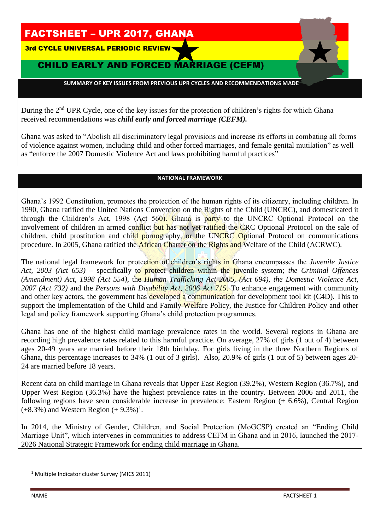# FACTSHEET – UPR 2017, GHANA

3rd CYCLE UNIVERSAL PERIODIC REVIEW

### CHILD EARLY AND FORCED MARRIAGE (CEFM)

 **SUMMARY OF KEY ISSUES FROM PREVIOUS UPR CYCLES AND RECOMMENDATIONS MADE** 

During the 2<sup>nd</sup> UPR Cycle, one of the key issues for the protection of children's rights for which Ghana received recommendations was *child early and forced marriage (CEFM).*

Ghana was asked to "Abolish all discriminatory legal provisions and increase its efforts in combating all forms of violence against women, including child and other forced marriages, and female genital mutilation" as well as "enforce the 2007 Domestic Violence Act and laws prohibiting harmful practices"

#### **NATIONAL FRAMEWORK**

Ghana's 1992 Constitution, promotes the protection of the human rights of its citizenry, including children. In 1990, Ghana ratified the United Nations Convention on the Rights of the Child (UNCRC), and domesticated it through the Children's Act, 1998 (Act 560). Ghana is party to the UNCRC Optional Protocol on the involvement of children in armed conflict but has not yet ratified the CRC Optional Protocol on the sale of children, child prostitution and child pornography, or the UNCRC Optional Protocol on communications procedure. In 2005, Ghana ratified the African Charter on the Rights and Welfare of the Child (ACRWC).

The national legal framework for protection of children's rights in Ghana encompasses the *Juvenile Justice Act, 2003 (Act 653)* – specifically to protect children within the juvenile system; *the Criminal Offences (Amendment) Act, 1998 (Act 554)*, the *Human Trafficking Act 2005, (Act 694)*, *the Domestic Violence Act, 2007 (Act 732)* and the *Persons with Disability Act, 2006 Act 715*. To enhance engagement with community and other key actors, the government has developed a communication for development tool kit (C4D). This to support the implementation of the Child and Family Welfare Policy, the Justice for Children Policy and other legal and policy framework supporting Ghana's child protection programmes.

Ghana has one of the highest child marriage prevalence rates in the world. Several regions in Ghana are recording high prevalence rates related to this harmful practice. On average, 27% of girls (1 out of 4) between ages 20-49 years are married before their 18th birthday. For girls living in the three Northern Regions of Ghana, this percentage increases to 34% (1 out of 3 girls). Also, 20.9% of girls (1 out of 5) between ages 20- 24 are married before 18 years.

Recent data on child marriage in Ghana reveals that Upper East Region (39.2%), Western Region (36.7%), and Upper West Region (36.3%) have the highest prevalence rates in the country. Between 2006 and 2011, the following regions have seen considerable increase in prevalence: Eastern Region (+ 6.6%), Central Region  $(+8.3\%)$  and Western Region  $(+ 9.3\%)$ <sup>1</sup>.

In 2014, the Ministry of Gender, Children, and Social Protection (MoGCSP) created an "Ending Child Marriage Unit", which intervenes in communities to address CEFM in Ghana and in 2016, launched the 2017- 2026 National Strategic Framework for ending child marriage in Ghana.

l

<sup>&</sup>lt;sup>1</sup> Multiple Indicator cluster Survey (MICS 2011)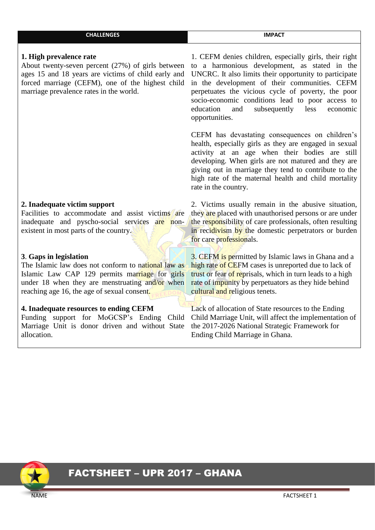| <b>CHALLENGES</b> | <b>IMPACT</b> |
|-------------------|---------------|
|                   |               |

#### **1. High prevalence rate**

About twenty-seven percent (27%) of girls between ages 15 and 18 years are victims of child early and forced marriage (CEFM), one of the highest child marriage prevalence rates in the world.

#### **2. Inadequate victim support**

Facilities to accommodate and assist victims are inadequate and pyscho-social services are nonexistent in most parts of the country.

#### **3**. **Gaps in legislation**

The Islamic law does not conform to national law as Islamic Law CAP 129 permits marriage for girls under 18 when they are menstruating and/or when reaching age 16, the age of sexual consent.

### **4. Inadequate resources to ending CEFM**

Funding support for MoGCSP's Ending Child Marriage Unit is donor driven and without State allocation.

1. CEFM denies children, especially girls, their right to a harmonious development, as stated in the UNCRC. It also limits their opportunity to participate in the development of their communities. CEFM perpetuates the vicious cycle of poverty, the poor socio-economic conditions lead to poor access to education and subsequently less economic opportunities.

CEFM has devastating consequences on children's health, especially girls as they are engaged in sexual activity at an age when their bodies are still developing. When girls are not matured and they are giving out in marriage they tend to contribute to the high rate of the maternal health and child mortality rate in the country.

2. Victims usually remain in the abusive situation, they are placed with unauthorised persons or are under the responsibility of care professionals, often resulting in recidivism by the domestic perpetrators or burden for care professionals.

3. CEFM is permitted by Islamic laws in Ghana and a high rate of CEFM cases is unreported due to lack of trust or fear of reprisals, which in turn leads to a high rate of impunity by perpetuators as they hide behind cultural and religious tenets.

Lack of allocation of State resources to the Ending Child Marriage Unit, will affect the implementation of the 2017-2026 National Strategic Framework for Ending Child Marriage in Ghana.



# FACTSHEET – UPR 2017 – GHANA

NAME FACTSHEET 1